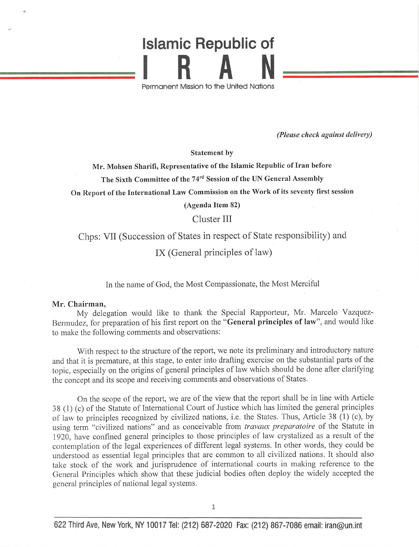## Islamic Republic of R A

Permanent Mission to the United Notions

(Please check against delivery)

Statement by

Mr. Mohsen Sharifi, Representative of the Islamic Republic of Iran before

The Sixth Committee of the 74<sup>rd</sup> Session of the UN General Assembly

On Report of the International Law Commission on the Work of its seventy first session

(Agenda Item 82)

## Cluster III

Chps: VII (Succession of States in respect of State responsibility) and

IX (General principles of law)

In the name of God, the Most Compassionate, the Most Merciful

## Mr. Chairman,

My delegation would like to thank the Special Rapporteur, Mr. Marcelo Vazquez-Bermudez, for preparation of his first report on the "General principles of law", and would like to make the following comments and observations;

With respect to the structure of the report, we note its preliminary and introductory nature and that it is premature, at this stage, to enter into drafting exercise on the substantial parts of the topic, especially on the origins of general principles of law which should be done after clarifying the concept and its scope and receiving comments and observations of States.

On the scope of the report, we are of the view that the report shall be in line with Article 38 (1) (c) of the Statute of Intemational Court of Justice which has limited the general principles of law to principles recognized by civilized nations, i.e. the States. Thus, Article 38 (1) (c), by using term "civilized nations" and as conceivable from travaux preparatoire of the Statute in 1920, have confined general principles to those principles of law crystalized as a result of the contemplation of the legal experiences of different legal systems. In other words, they could be understood as essential legal principles that are common to all civilized nations. It should also take stock of the work and jurisprudence of intemational courts in making reference to the General Principles which show that these judicial bodies often deploy the widely accepted the general principles of national legal systems.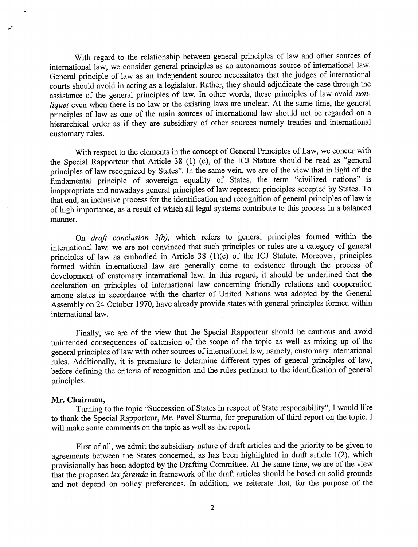With regard to the relationship between general principles of law and other sources of international law, we consider general principles as an autonomous source of international law. General principle of law as an independent source necessitates that the judges of international courts should avoid in acting as a legislator. Rather, they should adjudicate the case through the assistance of the general principles of law. In other words, these principles of law avoid nonliquet even when there is no law or the existing laws are unclear. At the same time, the general principles of law as one of the main sources of international law should not be regarded on a hierarchical order as if they are subsidiary of other sources namely treaties and international customary rules.

With respect to the elements in the concept of General Principles of Law, we concur with the Special Rapporteur that Article 38 (1) (c), of the ICJ Statute should be read as "general principles of law recognized by States". In the same vein, we are of the view that in light of the fundamental principle of sovereign equality of States, the term "civilized nations" is inappropriate and nowadays general principles of law represent principles accepted by States. To that end, an inclusive process for the identification and recognition of general principles of law is of high importance, as a result of which all legal systems contribute to this process in a balanced manner.

On draft conclusion 3(b), which refers to general principles formed within the international law, we are not convinced that such principles or rules are a category of general principles of law as embodied in Article 38 (1)(c) of the ICJ Statute. Moreover, principles formed within international law are generally come to existence through the process of development of customary intemational law. In this regard, it should be underlined that the declaration on principles of intemational law conceming friendly relations and cooperation among states in accordance with the charter of United Nations was adopted by the General Assembly on 24 October 1970, have already provide states with general principles formed within intemational law.

Finally, we are of the view that the Special Rapporteur should be cautious and avoid unintended consequences of extension of the scope of the topic as well as mixing up of the general principles of law with other sources of international law, namely, customary international mles. Additionally, it is premature to determine different types of general principles of law, before defining the criteria of recognition and the mles pertinent to the identification of general principles.

## Mr. Chairman,

Turning to the topic "Succession of States in respect of State responsibility", I would like to thank the Special Rapporteur, Mr. Pavel Sturma, for preparation of third report on the topic. I will make some comments on the topic as well as the report.

First of all, we admit the subsidiary nature of draft articles and the priority to be given to agreements between the States concemed, as has been highlighted in draft article 1(2), which provisionally has been adopted by the Drafting Committee. At the same time, we are of the view that the proposed lex ferenda in framework of the draft articles should be based on solid grounds and not depend on policy preferences. In addition, we reiterate that, for the purpose of the